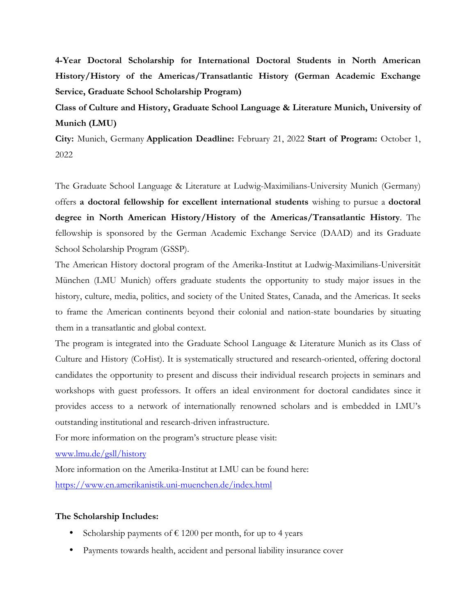**4-Year Doctoral Scholarship for International Doctoral Students in North American History/History of the Americas/Transatlantic History (German Academic Exchange Service, Graduate School Scholarship Program)** 

**Class of Culture and History, Graduate School Language & Literature Munich, University of Munich (LMU)** 

**City:** Munich, Germany **Application Deadline:** February 21, 2022 **Start of Program:** October 1, 2022

The Graduate School Language & Literature at Ludwig-Maximilians-University Munich (Germany) offers **a doctoral fellowship for excellent international students** wishing to pursue a **doctoral degree in North American History/History of the Americas/Transatlantic History**. The fellowship is sponsored by the German Academic Exchange Service (DAAD) and its Graduate School Scholarship Program (GSSP).

The American History doctoral program of the Amerika-Institut at Ludwig-Maximilians-Universität München (LMU Munich) offers graduate students the opportunity to study major issues in the history, culture, media, politics, and society of the United States, Canada, and the Americas. It seeks to frame the American continents beyond their colonial and nation-state boundaries by situating them in a transatlantic and global context.

The program is integrated into the Graduate School Language & Literature Munich as its Class of Culture and History (CoHist). It is systematically structured and research-oriented, offering doctoral candidates the opportunity to present and discuss their individual research projects in seminars and workshops with guest professors. It offers an ideal environment for doctoral candidates since it provides access to a network of internationally renowned scholars and is embedded in LMU's outstanding institutional and research-driven infrastructure.

For more information on the program's structure please visit:

www.lmu.de/gsll/history

More information on the Amerika-Institut at LMU can be found here: https://www.en.amerikanistik.uni-muenchen.de/index.html

## **The Scholarship Includes:**

- Scholarship payments of  $\epsilon$  1200 per month, for up to 4 years
- Payments towards health, accident and personal liability insurance cover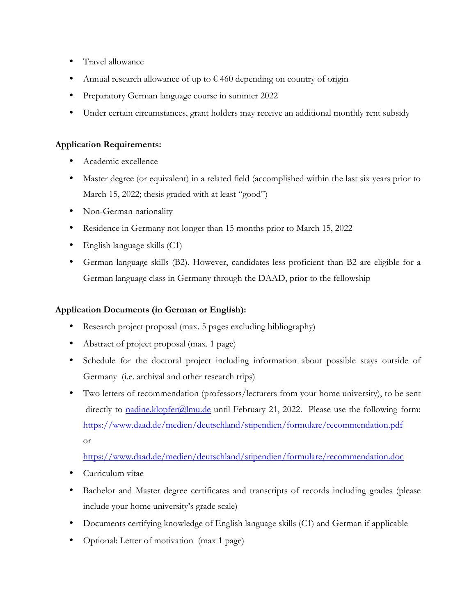- Travel allowance
- Annual research allowance of up to  $\epsilon$  460 depending on country of origin
- Preparatory German language course in summer 2022
- Under certain circumstances, grant holders may receive an additional monthly rent subsidy

## **Application Requirements:**

- Academic excellence
- Master degree (or equivalent) in a related field (accomplished within the last six years prior to March 15, 2022; thesis graded with at least "good")
- Non-German nationality
- Residence in Germany not longer than 15 months prior to March 15, 2022
- English language skills (C1)
- German language skills (B2). However, candidates less proficient than B2 are eligible for a German language class in Germany through the DAAD, prior to the fellowship

## **Application Documents (in German or English):**

- Research project proposal (max. 5 pages excluding bibliography)
- Abstract of project proposal (max. 1 page)
- Schedule for the doctoral project including information about possible stays outside of Germany (i.e. archival and other research trips)
- Two letters of recommendation (professors/lecturers from your home university), to be sent directly to nadine.klopfer@lmu.de until February 21, 2022. Please use the following form: https://www.daad.de/medien/deutschland/stipendien/formulare/recommendation.pdf or

https://www.daad.de/medien/deutschland/stipendien/formulare/recommendation.doc

- Curriculum vitae
- Bachelor and Master degree certificates and transcripts of records including grades (please) include your home university's grade scale)
- Documents certifying knowledge of English language skills (C1) and German if applicable
- Optional: Letter of motivation (max 1 page)